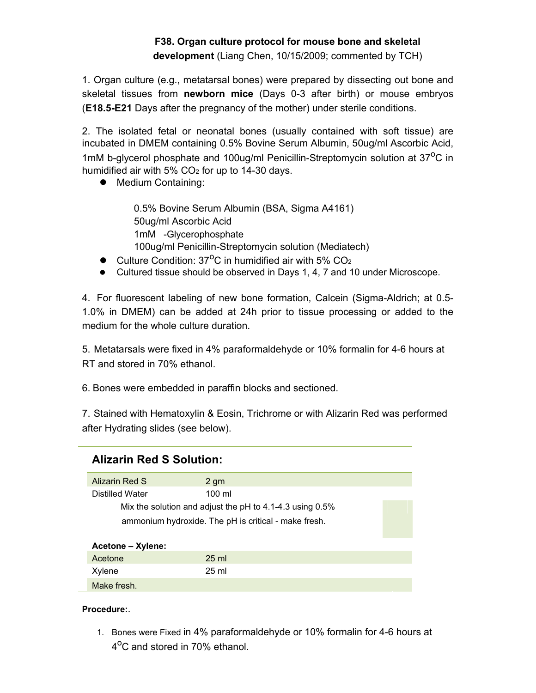## **F38. Organ culture protocol for mouse bone and skeletal development** (Liang Chen, 10/15/2009; commented by TCH)

1. Organ culture (e.g., metatarsal bones) were prepared by dissecting out bone and skeletal tissues from **newborn mice** (Days 0-3 after birth) or mouse embryos (**E18.5-E21** Days after the pregnancy of the mother) under sterile conditions.

2. The isolated fetal or neonatal bones (usually contained with soft tissue) are incubated in DMEM containing 0.5% Bovine Serum Albumin, 50ug/ml Ascorbic Acid, 1mM b-glycerol phosphate and 100ug/ml Penicillin-Streptomycin solution at 37<sup>o</sup>C in humidified air with  $5\%$  CO<sub>2</sub> for up to 14-30 days.

• Medium Containing:

0.5% Bovine Serum Albumin (BSA, Sigma A4161) 50ug/ml Ascorbic Acid 1mM -Glycerophosphate 100ug/ml Penicillin-Streptomycin solution (Mediatech)

- $\bullet$  Culture Condition: 37<sup>o</sup>C in humidified air with 5% CO<sub>2</sub>
- Cultured tissue should be observed in Days 1, 4, 7 and 10 under Microscope.

4. For fluorescent labeling of new bone formation, Calcein (Sigma-Aldrich; at 0.5- 1.0% in DMEM) can be added at 24h prior to tissue processing or added to the medium for the whole culture duration.

5. Metatarsals were fixed in 4% paraformaldehyde or 10% formalin for 4-6 hours at RT and stored in 70% ethanol.

6. Bones were embedded in paraffin blocks and sectioned.

7. Stained with Hematoxylin & Eosin, Trichrome or with Alizarin Red was performed after Hydrating slides (see below).

| <b>Alizarin Red S Solution:</b>                          |                  |  |  |  |  |  |  |
|----------------------------------------------------------|------------------|--|--|--|--|--|--|
| Alizarin Red S                                           | 2 qm             |  |  |  |  |  |  |
| Distilled Water                                          | $100 \mathrm{m}$ |  |  |  |  |  |  |
| Mix the solution and adjust the pH to 4.1-4.3 using 0.5% |                  |  |  |  |  |  |  |
| ammonium hydroxide. The pH is critical - make fresh.     |                  |  |  |  |  |  |  |
| Acetone – Xylene:                                        |                  |  |  |  |  |  |  |
| Acetone                                                  | $25 \text{ ml}$  |  |  |  |  |  |  |
| Xylene                                                   | 25 ml            |  |  |  |  |  |  |
| Make fresh.                                              |                  |  |  |  |  |  |  |

## **Procedure:**.

1. Bones were Fixed in 4% paraformaldehyde or 10% formalin for 4-6 hours at 4<sup>o</sup>C and stored in 70% ethanol.